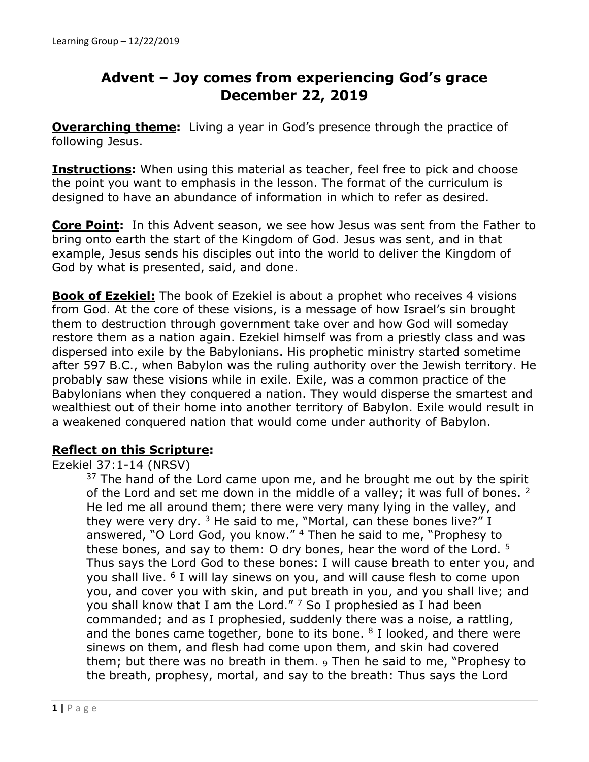# **Advent – Joy comes from experiencing God's grace December 22, 2019**

**Overarching theme:** Living a year in God's presence through the practice of following Jesus.

**Instructions:** When using this material as teacher, feel free to pick and choose the point you want to emphasis in the lesson. The format of the curriculum is designed to have an abundance of information in which to refer as desired.

**Core Point:** In this Advent season, we see how Jesus was sent from the Father to bring onto earth the start of the Kingdom of God. Jesus was sent, and in that example, Jesus sends his disciples out into the world to deliver the Kingdom of God by what is presented, said, and done.

**Book of Ezekiel:** The book of Ezekiel is about a prophet who receives 4 visions from God. At the core of these visions, is a message of how Israel's sin brought them to destruction through government take over and how God will someday restore them as a nation again. Ezekiel himself was from a priestly class and was dispersed into exile by the Babylonians. His prophetic ministry started sometime after 597 B.C., when Babylon was the ruling authority over the Jewish territory. He probably saw these visions while in exile. Exile, was a common practice of the Babylonians when they conquered a nation. They would disperse the smartest and wealthiest out of their home into another territory of Babylon. Exile would result in a weakened conquered nation that would come under authority of Babylon.

## **Reflect on this Scripture:**

### Ezekiel 37:1-14 (NRSV)

 $37$  The hand of the Lord came upon me, and he brought me out by the spirit of the Lord and set me down in the middle of a valley; it was full of bones. <sup>2</sup> He led me all around them; there were very many lying in the valley, and they were very dry.  $3$  He said to me, "Mortal, can these bones live?" I answered, "O Lord God, you know." 4 Then he said to me, "Prophesy to these bones, and say to them: O dry bones, hear the word of the Lord.  $5$ Thus says the Lord God to these bones: I will cause breath to enter you, and you shall live. 6 I will lay sinews on you, and will cause flesh to come upon you, and cover you with skin, and put breath in you, and you shall live; and you shall know that I am the Lord."  $7$  So I prophesied as I had been commanded; and as I prophesied, suddenly there was a noise, a rattling, and the bones came together, bone to its bone.  $8$  I looked, and there were sinews on them, and flesh had come upon them, and skin had covered them; but there was no breath in them. 9 Then he said to me, "Prophesy to the breath, prophesy, mortal, and say to the breath: Thus says the Lord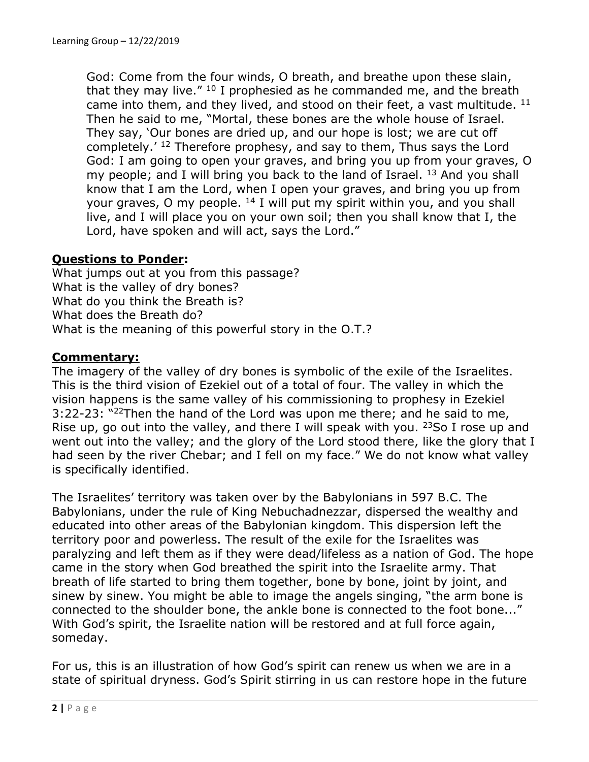God: Come from the four winds, O breath, and breathe upon these slain, that they may live."  $10$  I prophesied as he commanded me, and the breath came into them, and they lived, and stood on their feet, a vast multitude. <sup>11</sup> Then he said to me, "Mortal, these bones are the whole house of Israel. They say, 'Our bones are dried up, and our hope is lost; we are cut off completely.' 12 Therefore prophesy, and say to them, Thus says the Lord God: I am going to open your graves, and bring you up from your graves, O my people; and I will bring you back to the land of Israel. <sup>13</sup> And you shall know that I am the Lord, when I open your graves, and bring you up from your graves, O my people. <sup>14</sup> I will put my spirit within you, and you shall live, and I will place you on your own soil; then you shall know that I, the Lord, have spoken and will act, says the Lord."

## **Questions to Ponder:**

What jumps out at you from this passage? What is the valley of dry bones? What do you think the Breath is? What does the Breath do? What is the meaning of this powerful story in the O.T.?

### **Commentary:**

The imagery of the valley of dry bones is symbolic of the exile of the Israelites. This is the third vision of Ezekiel out of a total of four. The valley in which the vision happens is the same valley of his commissioning to prophesy in Ezekiel 3:22-23: "22Then the hand of the Lord was upon me there; and he said to me, Rise up, go out into the valley, and there I will speak with you. <sup>23</sup>So I rose up and went out into the valley; and the glory of the Lord stood there, like the glory that I had seen by the river Chebar; and I fell on my face." We do not know what valley is specifically identified.

The Israelites' territory was taken over by the Babylonians in 597 B.C. The Babylonians, under the rule of King Nebuchadnezzar, dispersed the wealthy and educated into other areas of the Babylonian kingdom. This dispersion left the territory poor and powerless. The result of the exile for the Israelites was paralyzing and left them as if they were dead/lifeless as a nation of God. The hope came in the story when God breathed the spirit into the Israelite army. That breath of life started to bring them together, bone by bone, joint by joint, and sinew by sinew. You might be able to image the angels singing, "the arm bone is connected to the shoulder bone, the ankle bone is connected to the foot bone..." With God's spirit, the Israelite nation will be restored and at full force again, someday.

For us, this is an illustration of how God's spirit can renew us when we are in a state of spiritual dryness. God's Spirit stirring in us can restore hope in the future